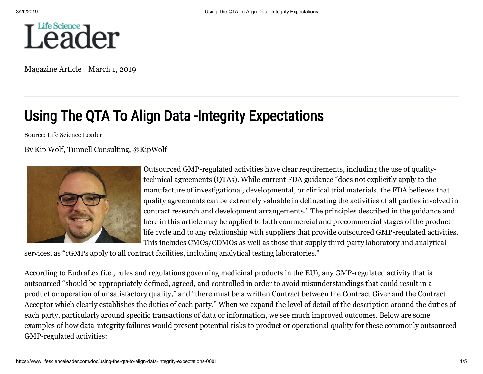

Magazine Article | March 1, 2019

# Using The QTA To Align Data -Integrity Expectations

Source: Life Science Leader

# By [Kip Wolf](https://www.lifescienceleader.com/author/kip-wolf), Tunnell Consulting, [@KipWolf](https://twitter.com/kipwolf)



Outsourced GMP-regulated activities have clear requirements, including the use of qualitytechnical agreements (QTAs). While current FDA guidance "does not explicitly apply to the manufacture of investigational, developmental, or clinical trial materials, the FDA believes that quality agreements can be extremely valuable in delineating the activities of all parties involved in contract research and development arrangements." The principles described in the guidance and here in this article may be applied to both commercial and precommercial stages of the product life cycle and to any relationship with suppliers that provide outsourced GMP-regulated activities. This includes CMOs/CDMOs as well as those that supply third-party laboratory and analytical

services, as "cGMPs apply to all contract facilities, including analytical testing laboratories."

According to EudraLex (i.e., rules and regulations governing medicinal products in the EU), any GMP-regulated activity that is outsourced "should be appropriately defined, agreed, and controlled in order to avoid misunderstandings that could result in a product or operation of unsatisfactory quality," and "there must be a written Contract between the Contract Giver and the Contract Acceptor which clearly establishes the duties of each party." When we expand the level of detail of the description around the duties of each party, particularly around specific transactions of data or information, we see much improved outcomes. Below are some examples of how data-integrity failures would present potential risks to product or operational quality for these commonly outsourced GMP-regulated activities: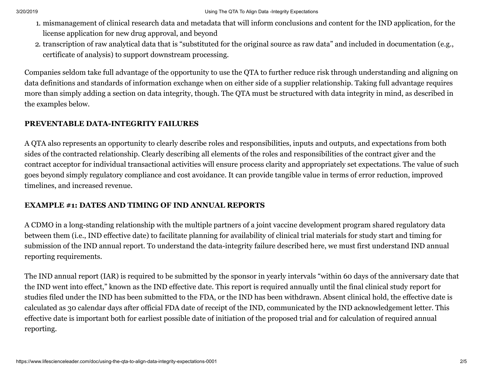- 1. mismanagement of clinical research data and metadata that will inform conclusions and content for the IND application, for the license application for new drug approval, and beyond
- 2. transcription of raw analytical data that is "substituted for the original source as raw data" and included in documentation (e.g., certificate of analysis) to support downstream processing.

Companies seldom take full advantage of the opportunity to use the QTA to further reduce risk through understanding and aligning on data definitions and standards of information exchange when on either side of a supplier relationship. Taking full advantage requires more than simply adding a section on data integrity, though. The QTA must be structured with data integrity in mind, as described in the examples below.

## **PREVENTABLE DATA-INTEGRITY FAILURES**

A QTA also represents an opportunity to clearly describe roles and responsibilities, inputs and outputs, and expectations from both sides of the contracted relationship. Clearly describing all elements of the roles and responsibilities of the contract giver and the contract acceptor for individual transactional activities will ensure process clarity and appropriately set expectations. The value of such goes beyond simply regulatory compliance and cost avoidance. It can provide tangible value in terms of error reduction, improved timelines, and increased revenue.

# **EXAMPLE #1: DATES AND TIMING OF IND ANNUAL REPORTS**

A CDMO in a long-standing relationship with the multiple partners of a joint vaccine development program shared regulatory data between them (i.e., IND effective date) to facilitate planning for availability of clinical trial materials for study start and timing for submission of the IND annual report. To understand the data-integrity failure described here, we must first understand IND annual reporting requirements.

The IND annual report (IAR) is required to be submitted by the sponsor in yearly intervals "within 60 days of the anniversary date that the IND went into effect," known as the IND effective date. This report is required annually until the final clinical study report for studies filed under the IND has been submitted to the FDA, or the IND has been withdrawn. Absent clinical hold, the effective date is calculated as 30 calendar days after official FDA date of receipt of the IND, communicated by the IND acknowledgement letter. This effective date is important both for earliest possible date of initiation of the proposed trial and for calculation of required annual reporting.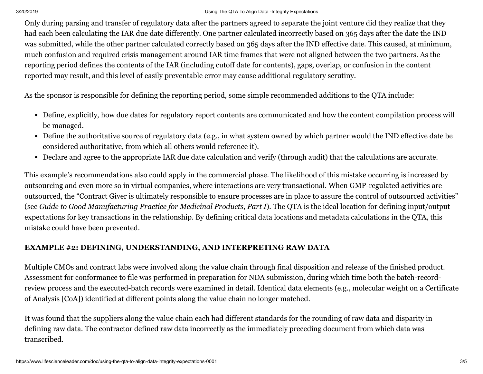#### 3/20/2019 Using The QTA To Align Data -Integrity Expectations

Only during parsing and transfer of regulatory data after the partners agreed to separate the joint venture did they realize that they had each been calculating the IAR due date differently. One partner calculated incorrectly based on 365 days after the date the IND was submitted, while the other partner calculated correctly based on 365 days after the IND effective date. This caused, at minimum, much confusion and required crisis management around IAR time frames that were not aligned between the two partners. As the reporting period defines the contents of the IAR (including cutoff date for contents), gaps, overlap, or confusion in the content reported may result, and this level of easily preventable error may cause additional regulatory scrutiny.

As the sponsor is responsible for defining the reporting period, some simple recommended additions to the QTA include:

- Define, explicitly, how due dates for regulatory report contents are communicated and how the content compilation process will be managed.
- Define the authoritative source of regulatory data (e.g., in what system owned by which partner would the IND effective date be considered authoritative, from which all others would reference it).
- Declare and agree to the appropriate IAR due date calculation and verify (through audit) that the calculations are accurate.

This example's recommendations also could apply in the commercial phase. The likelihood of this mistake occurring is increased by outsourcing and even more so in virtual companies, where interactions are very transactional. When GMP-regulated activities are outsourced, the "Contract Giver is ultimately responsible to ensure processes are in place to assure the control of outsourced activities" (see *Guide to Good Manufacturing Practice for Medicinal Products, Part I*). The QTA is the ideal location for defining input/output expectations for key transactions in the relationship. By defining critical data locations and metadata calculations in the QTA, this mistake could have been prevented.

# **EXAMPLE #2: DEFINING, UNDERSTANDING, AND INTERPRETING RAW DATA**

Multiple CMOs and contract labs were involved along the value chain through final disposition and release of the finished product. Assessment for conformance to file was performed in preparation for NDA submission, during which time both the batch-recordreview process and the executed-batch records were examined in detail. Identical data elements (e.g., molecular weight on a Certificate of Analysis [CoA]) identified at different points along the value chain no longer matched.

It was found that the suppliers along the value chain each had different standards for the rounding of raw data and disparity in defining raw data. The contractor defined raw data incorrectly as the immediately preceding document from which data was transcribed.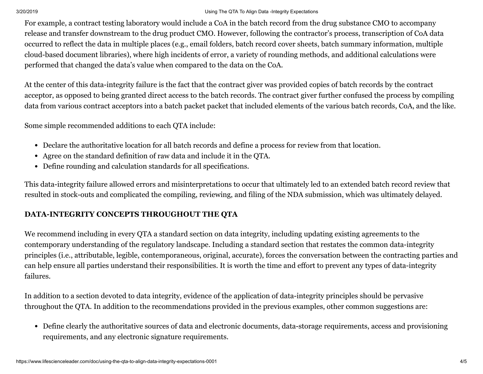### 3/20/2019 Using The QTA To Align Data -Integrity Expectations

For example, a contract testing laboratory would include a CoA in the batch record from the drug substance CMO to accompany release and transfer downstream to the drug product CMO. However, following the contractor's process, transcription of CoA data occurred to reflect the data in multiple places (e.g., email folders, batch record cover sheets, batch summary information, multiple cloud-based document libraries), where high incidents of error, a variety of rounding methods, and additional calculations were performed that changed the data's value when compared to the data on the CoA.

At the center of this data-integrity failure is the fact that the contract giver was provided copies of batch records by the contract acceptor, as opposed to being granted direct access to the batch records. The contract giver further confused the process by compiling data from various contract acceptors into a batch packet packet that included elements of the various batch records, CoA, and the like.

Some simple recommended additions to each QTA include:

- Declare the authoritative location for all batch records and define a process for review from that location.
- Agree on the standard definition of raw data and include it in the QTA.
- Define rounding and calculation standards for all specifications.

This data-integrity failure allowed errors and misinterpretations to occur that ultimately led to an extended batch record review that resulted in stock-outs and complicated the compiling, reviewing, and filing of the NDA submission, which was ultimately delayed.

# **DATA-INTEGRITY CONCEPTS THROUGHOUT THE QTA**

We recommend including in every QTA a standard section on data integrity, including updating existing agreements to the contemporary understanding of the regulatory landscape. Including a standard section that restates the common data-integrity principles (i.e., attributable, legible, contemporaneous, original, accurate), forces the conversation between the contracting parties and can help ensure all parties understand their responsibilities. It is worth the time and effort to prevent any types of data-integrity failures.

In addition to a section devoted to data integrity, evidence of the application of data-integrity principles should be pervasive throughout the QTA. In addition to the recommendations provided in the previous examples, other common suggestions are:

Define clearly the authoritative sources of data and electronic documents, data-storage requirements, access and provisioning requirements, and any electronic signature requirements.